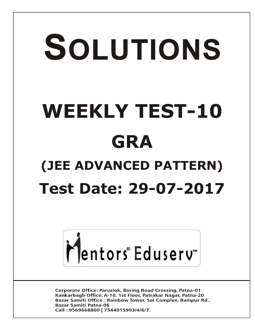# SOLUTIONS **WEEKLY TEST-10 GRA (JEE ADVANCED PATTERN) Test Date: 29-07-2017**



**Corporate Office: Paruslok, Boring Road Crossing, Patna-01** Kankarbagh Office: A-10, 1st Floor, Patrakar Nagar, Patna-20 Bazar Samiti Office: Rainbow Tower, Sai Complex, Rampur Rd., **Bazar Samiti Patna-06** Call: 9569668800 | 7544015993/4/6/7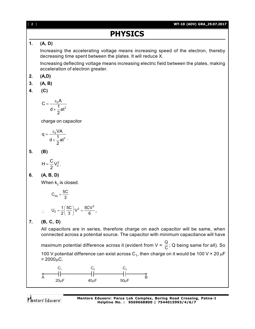# **PHYSICS**

## **1. (A, D)**

Increasing the accelerating voltage means increasing speed of the electron, thereby decreasing time spent between the plates. It will reduce X.

Increasing deflecting voltage means increasing electric field between the plates, making acceleration of electron greater.

- **2. (A,D)**
- **3. (A, B)**
- **4. (C)**

$$
C=\frac{\epsilon_0 A}{d+\frac{1}{2}at^2}
$$

charge on capacitor

$$
q = \frac{\epsilon_0 VA}{d + \frac{1}{2}at^2}.
$$

**5. (B)**

$$
H=\frac{C}{2}\,V_2^2
$$

**6. (A, B, D)**

When  $\mathsf{k}_\mathsf{2}$  is closed.

.

$$
C_{eq} = \frac{5C}{3}
$$
  

$$
U_2 = \frac{1}{2} \left(\frac{5C}{3}\right) V^2 = \frac{5CV^2}{6}.
$$

$$
\therefore \quad \mathsf{U}_2 = \frac{1}{2} \left( \frac{1}{3} \right)
$$

**7. (B, C, D)**

All capacitors are in series, therefore charge on each capacitor will be same, when connected across a potential source. The capacitor with minimum capacitance will have

maximum potential difference across it (evident from V =  $\frac{Q}{C}$ ; Q being same for all). So

100 V potential difference can exist across  $C_1$ , then charge on it would be 100 V  $\times$  20  $\mu$ F  $= 2000 \mu C$ .

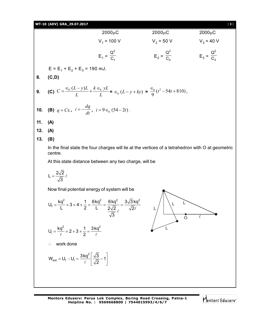## **WT-10 (ADV) GRA\_29.07.2017** [ **3** ]

| $2000\mu C$             | $2000\mu C$             | $2000\mu C$             |
|-------------------------|-------------------------|-------------------------|
| $V_1$ = 100 V           | $V_2$ = 50 V            | $V_3$ = 40 V            |
| $E_1 = \frac{Q^2}{C_1}$ | $E_2 = \frac{Q^2}{C_2}$ | $E_3 = \frac{Q^2}{C_3}$ |

 $E = E_1 + E_2 + E_3 = 190$  mJ.

**8. (C,D)**

**9.** (C) 
$$
C = \frac{\epsilon_0 (L - y)L}{L} + \frac{k \epsilon_0 yL}{L} = \epsilon_0 (L - y + ky) = \frac{\epsilon_0}{9} (t^2 - 54t + 810).
$$

**10.** (**B**) 
$$
q = C\epsilon
$$
,  $i = -\frac{dq}{dt}$ ,  $i = 9 \epsilon_0 (54 - 2t)$ .

**11. (A)**

**12. (A)**

**13. (B)**

In the final state the four charges will lie at the vertices of a tetrahedron with O at geometric centre.

At this state distance between any two charge, will be

$$
L=\frac{2\sqrt{2}}{\sqrt{3}}\,\ell
$$

Now final potential energy of system will be

$$
U_f = \frac{kq^2}{L} \times 3 \times 4 \times \frac{1}{2} = \frac{6kq^2}{L} = \frac{6kq^2}{\frac{2\sqrt{2}}{\sqrt{3}}} = \frac{3\sqrt{3}kq^2}{\sqrt{2}\ell}
$$

$$
U_i = \frac{kq^2}{\ell} \times 2 \times 3 \times \frac{1}{2} = \frac{3kq^2}{\ell}
$$

work done

$$
W_{ext} = U_f - U_i = \frac{3kq^2}{\ell} \left[ \frac{\sqrt{3}}{\sqrt{2}} - 1 \right]
$$

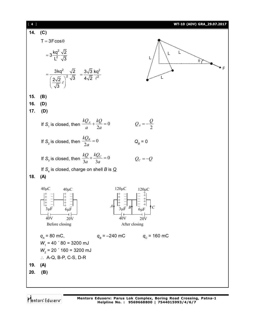| $\begin{bmatrix} 4 \end{bmatrix}$ |                                                                                                                                         | WT-10 (ADV) GRA_29.07.2017                                                                                                              |
|-----------------------------------|-----------------------------------------------------------------------------------------------------------------------------------------|-----------------------------------------------------------------------------------------------------------------------------------------|
| 14.                               | (C)                                                                                                                                     |                                                                                                                                         |
|                                   | $T = 3F\cos\theta$                                                                                                                      |                                                                                                                                         |
|                                   | $=3\frac{kq^2}{l^2}\frac{\sqrt{2}}{\sqrt{3}}$                                                                                           |                                                                                                                                         |
|                                   | $= \frac{3kq^2}{\left(\frac{2\sqrt{2}}{\sqrt{2}}\right)^2} \frac{\sqrt{2}}{\sqrt{3}} = \frac{3\sqrt{3}}{4\sqrt{2}} \frac{kq^2}{\ell^2}$ |                                                                                                                                         |
| 15.                               | (B)                                                                                                                                     |                                                                                                                                         |
| 16.                               | (D)                                                                                                                                     |                                                                                                                                         |
| 17.                               | (D)                                                                                                                                     |                                                                                                                                         |
|                                   | If S <sub>1</sub> is closed, then $\frac{kQ_A}{a} + \frac{kQ}{2a} = 0$                                                                  | $Q_A=-\frac{Q}{2}$                                                                                                                      |
|                                   | If S <sub>2</sub> is closed, then $\frac{kQ_B}{2a} = 0$                                                                                 | $Q_B = 0$                                                                                                                               |
|                                   | If S <sub>3</sub> is closed, then $\frac{kQ}{3a} + \frac{kQ_C}{3a} = 0$                                                                 | $Q_c = -Q$                                                                                                                              |
|                                   | If $S_4$ is closed, charge on shell B is $Q$                                                                                            |                                                                                                                                         |
| 18.                               | (A)                                                                                                                                     |                                                                                                                                         |
|                                   | $40 \mu C$<br>$120 \mu C$<br>$40 \mu C$                                                                                                 | $120 \mu C$                                                                                                                             |
|                                   | $\begin{array}{c c c c} & + & - & + & - \\ + & - & - & + & - \\ + & - & - & + & - \\ - & - & + & - & - \\ \hline \end{array}$           | $\begin{matrix} \frac{1}{+} & - \\ + & - \\ + & - \\ + & - \end{matrix}$ $\begin{matrix} - & + \\ - & + \\ - & + \\ - & + \end{matrix}$ |
|                                   | $6 \mu F$<br>sµr                                                                                                                        | $6 \mu F$                                                                                                                               |
|                                   | эμг<br>40V<br>20V<br>40V                                                                                                                | 20V                                                                                                                                     |
|                                   | Before closing                                                                                                                          | After closing                                                                                                                           |
|                                   | $q_{A}$ = 80 mC,<br>$q_{B} = -240$ mC                                                                                                   | $q_c$ = 160 mC                                                                                                                          |
|                                   | $W_1$ = 40 ' 80 = 3200 mJ                                                                                                               |                                                                                                                                         |
|                                   | $W2$ = 20 ' 160 = 3200 mJ                                                                                                               |                                                                                                                                         |
|                                   | $\therefore$ A-Q, B-P, C-S, D-R                                                                                                         |                                                                                                                                         |
| 19.                               | (A)                                                                                                                                     |                                                                                                                                         |
| 20.                               | (B)                                                                                                                                     |                                                                                                                                         |
|                                   |                                                                                                                                         |                                                                                                                                         |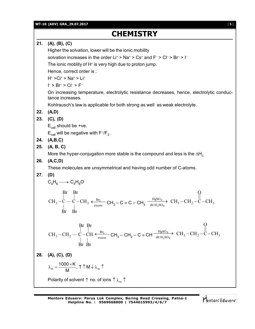**WT-10 (ADV) GRA\_29.07.2017** [ **5** ]

## **CHEMISTRY**

**21. (A), (B), (C)**

Higher the solvation, lower will be the ionic mobility

solvation increases in the order Li<sup>+</sup> > Na<sup>+</sup> > Cs<sup>+</sup> and F<sup>-</sup> > Cl<sup>-</sup> > Br<sup>-</sup> > l<sup>-</sup>

The ionic moblity of H<sup>+</sup> is very high due to proton jump.

Hence, correct order is :

H<sup>+</sup> >Ci<sup>+</sup> > Na<sup>+</sup> > Li<sup>+</sup>

I – > Br– > Cl– > F–

On increasing temperature, electrolytic resistance decreases, hence, electrolytic conductance increases.

Kohlrausch's law is applicable for both strong as well as weak electrolyte.

**22. (A,D)**

**23. (C), (D)**

 $E_{cell}$  should be +ve.

 $E_{cell}$  will be negative with F<sup>-</sup>/F<sub>2</sub>.

- **24. (A,B,C)**
- **25. (A, B, C)**

More the hyper-conjugation more stable is the compound and less is the  $\Delta H_c$ .

**26. (A,C,D)**

These molecules are unsymmetrical and having odd number of C-atoms.

$$
27. (D)
$$

$$
C_4H_6 \longrightarrow C_4H_8O
$$

$$
\begin{array}{ccc}\n\text{Br} & \text{Br} & \text{O} \\
\downarrow & \downarrow & \text{excess} \\
\text{Br} & \text{Br} & \text{CH}_3 - \text{C} = \text{C} - \text{CH}_3 & \xrightarrow{\text{HgSO}_4} \text{CH}_3 - \text{CH}_2 - \text{C} - \text{CH}_3 \\
\downarrow & \downarrow & \text{Br} & \text{Br}\n\end{array}
$$

$$
\text{CH}_3-\text{CH}_2\begin{array}{c|c} \text{Br} & \text{Br} & \text{O} \\ \hline \downarrow & \downarrow & \text{excess} \\ \text{Br} & \text{Br} & \text{Br} \end{array} \text{CH}_3-\text{CH}_2-\text{C}\equiv \text{CH} \begin{array}{c} \text{HgSO}_4 \\ \hline \text{dil.H}_2\text{SO}_4 \end{array} \begin{array}{c} \text{O} \\ \text{CH}_3-\text{CH}_2-\text{C}-\text{CH}_3 \\ \end{array}
$$

**28. (A), (C), (D)**

$$
\lambda_{\rm m} = \frac{1000 \times K}{M}, \ T \uparrow M \downarrow \lambda_{\rm m} \uparrow
$$

Polarity of solvent  $\uparrow$  no. of ions  $\uparrow \lambda_m \uparrow$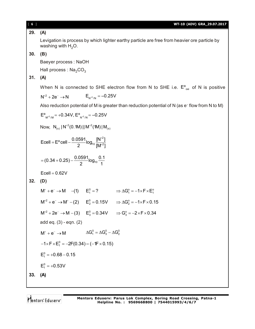## **29. (A)**

Levigation is process by which lighter earthy particle are free from heavier ore particle by washing with  $H_2O$ .

**30. (B)**

Baeyer process : NaOH

Hall process :  $\text{Na}_2\text{CO}_3$ 

## **31. (A)**

When N is connected to SHE electron flow from N to SHE i.e.  $E^{\circ}_{\text{oxi}}$  of N is positive

$$
N^{+2} + 2e^- \to N \qquad \qquad E_{N^{+2}/N} = -0.25V
$$

Also reduction potential of M is greater than reduction potential of N (as e– flow from N to M)

$$
E^{o}_{M^{+2}/M}
$$
 = +0.34V,  $E^{o}_{N^{+2}/N}$  = -0.25V

Now,  $\,$  N $_{\rm (s)}$  | N $^{+2}$ (0.1M) || M $^{+2}$ (1M) | M $_{\rm (s)}$ 

2  $|1000000000000| - \frac{0.0591}{2}$ log<sub>10</sub> 2  $^{1.5}$  [M<sup>+2</sup>]  $\ddot{}$  $=$  E<sup>o</sup> cell  $-\frac{0.0000}{2}$  log<sub>10</sub>  $\frac{1.7}{1.001}$ 

$$
= (0.34 + 0.25) - \frac{0.0591}{2} \log_{10} \frac{0.1}{1}
$$

$$
Ecell = 0.62V
$$

$$
32. (D)
$$

 $M^+ + e^- \rightarrow M$  -(1)  $E_1^0 = ?$   $\Rightarrow \Delta G_1^0 = -1 \times F \times E_1^0$  $M^{+2} + e^{-} \rightarrow M^{+} - (2)$   $E_{2}^{0} = 0.15V$   $\Rightarrow \Delta G_{2}^{0} = -1 \times F \times 0.15$  $M^{+2} + 2e^- \rightarrow M - (3)$   $E_3^0 = 0.34V$   $\Rightarrow G_3^0 = -2 \times F \times 0.34$ add eq. (3) - eqn. (2)  $M^+ + e^- \rightarrow M$   $\Delta G_1^0 = \Delta G_3^0 - \Delta G_2^0$  $-1\times$ F $\times$ E<sub>1</sub><sup>o</sup> =  $-2$ F(0.34) – ( $-1$ F $\times$ 0.15)  $E_1^0 = +0.68 - 0.15$  $E_1^0 = +0.53V$ **33. (A)**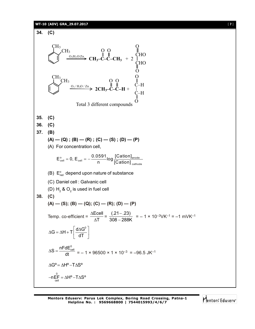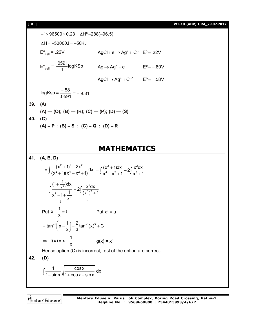$-1 \times 96500 \times 0.23 = \Delta H^{\circ} - 288(-96.5)$  $\Delta H = -50000J = -50KJ$  $E^{\circ}_{cell} = .22V$   $AgCl + e \rightarrow Ag^{+} + Cl^{-} E^{\circ} = .22V$  $E^{\circ}_{\text{cell}} = \frac{.0591}{1}$ logKSp  $\frac{364}{1}$ logKSp  $Ag \rightarrow Ag^+ + e$  E°=-.80V  $AgCl \rightarrow Ag^{+} + Cl^{-1}$   $E^{0} = -.58V$  $log Ksp = \frac{-.58}{0.58}$ .0591  $=\frac{-.58}{.0504}$  = -9.81 **39. (A)**  $(A)$  —  $(Q)$ ;  $(B)$  —  $(R)$ ;  $(C)$  —  $(P)$ ;  $(D)$  —  $(S)$ **40. (C)**  $(A) - P$ ;  $(B) - S$ ;  $(C) - Q$ ;  $(D) - R$ 

## **MATHEMATICS**

**41. (A, B, D)** 2  $1\sqrt{2}$   $2\sqrt{2}$  $I = \int \frac{(x^2 + 1)^2 - 2x^2}{(x^2 + 1)(x^4 - x^2 + 1)} dx$  $(x^2+1)(x^4-x^2+1)$  $=\int \frac{(x^2+1)^2-2x^2}{(x^2+1)(x^4-x^2+1)}dx = \int \frac{(x^2+1)dx}{x^4-x^2+1} - 2\int \frac{x^2}{x^6}dx$  $\frac{(x^2+1)dx}{(x^4-x^2+1)}-2\int \frac{x^2dx}{(x^6-x^2)}$  $x^4 - x^2 + 1$   $\overline{\phantom{0}}^1$   $x^6 + 1$  $= \int \frac{(x^2+1)dx}{x^4-x^2+1} - 2 \int \frac{x^2 dx}{x^6+1}$  $\overline{2}$  JUX  $\overline{X}^2$ 2 1  $\sqrt{3}$   $(x^3)^2$ 2  $\frac{(1+\frac{1}{x^2})dx}{1}$  - 2  $\frac{x^2dx}{(1+x^2)^2}$  $x^2-1+\frac{1}{2}$   $\int (x^3)^2+1$  $x^2$   $\qquad \qquad \downarrow$  $\downarrow$  $\ddot{}$  $=$   $\frac{X}{4}$  - 2  $-1+\frac{1}{2}$   $(x^3)^2 +$  $\frac{x}{2} - \frac{2}{1} - \frac{2}{x}$ Put  $x - \frac{1}{x} = t$  $-\frac{1}{x}$  = t Put x<sup>3</sup> = u  $\tan^{-1} \left( x - \frac{1}{2} \right) - \frac{2}{2} \tan^{-1} (x)^3 + C$  $x$ ) 3  $=$  tan<sup>-1</sup> $\left(x-\frac{1}{x}\right)-\frac{2}{3}$ tan<sup>-1</sup> $(x)^3 + 0$  $f(x) = x - \frac{1}{x}$  $\Rightarrow$   $f(x) = x - \frac{1}{x}$  g(x) = x<sup>3</sup> Hence option (C) is incorrect, rest of the option are correct. **42. (D)**  $\int \frac{1}{1-\sin x} \sqrt{\frac{\cos x}{1+\cos x + \sin x}} dx$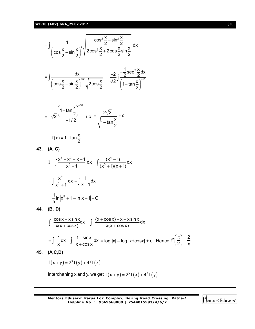**WT-10 (ADV) GRA\_29.07.2017** [ **9** ]

$$
= \int \frac{1}{(\cos \frac{x}{2} - \sin \frac{x}{2})^2} \sqrt{\frac{\cos^2 \frac{x}{2} - \sin^2 \frac{x}{2}}{2 \cos^2 \frac{x}{2} + 2 \cos \frac{x}{2} \sin \frac{x}{2}}} dx
$$
  
\n
$$
= \int \frac{dx}{(\cos \frac{x}{2} - \sin \frac{x}{2})^{3/2}} \sqrt{2 \cos \frac{x}{2}} = \frac{-2}{\sqrt{2}} \int \frac{-\frac{1}{2} \sec^2 \frac{x}{2} dx}{\left(1 - \tan \frac{x}{2}\right)^{3/2}}
$$
  
\n
$$
= -\sqrt{2} \frac{\left(1 - \tan \frac{x}{2}\right)^{3/2}}{-1/2} + c = \frac{2\sqrt{2}}{\sqrt{1 - \tan \frac{x}{2}}} + c
$$
  
\n $\therefore f(x) = 1 - \tan \frac{x}{2}$   
\n43. (A, C)  
\n
$$
I = \int \frac{x^3 - x^2 + x - 1}{x^5 + 1} dx = \int \frac{(x^4 - 1)}{(x^5 + 1)(x + 1)} dx
$$
  
\n
$$
= \int \frac{x^4}{x^5 + 1} dx - \int \frac{1}{x + 1} dx
$$
  
\n
$$
= \frac{1}{5} \ln|x^5 + 1| - \ln|x + 1| + C
$$
  
\n44. (B, D)  
\n
$$
\int \frac{\cos x + x \sin x}{x(x + \cos x)} dx = \int \frac{(x + \cos x) - x + x \sin x}{x(x + \cos x)} dx
$$
  
\n
$$
= \int \frac{1}{x} dx - \int \frac{1 - \sin x}{x + \cos x} dx = \log |x| - \log |x + \cos x| + c. \text{ Hence } f'\left(\frac{\pi}{2}\right) = \frac{2}{\pi}.
$$
  
\n45. (A, C, D)  
\n
$$
f(x + y) = 2^{x}f(y) + 4^{y}f(x)
$$
  
\nInterchanging x and y, we get  $f(x + y) = 2^{y}f(x) + 4^{x}f(y)$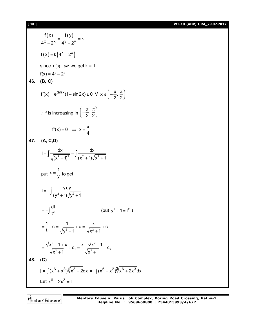[ **10** ] **WT-10 (ADV) GRA\_29.07.2017**

$$
\frac{f(x)}{4^{x}-2^{x}} = \frac{f(y)}{4^{y}-2^{y}} = k
$$
\n
$$
f(x) = k(4^{x}-2^{x})
$$
\nsince f'(0) = 6n2 we get k = 1  
\nf(x) = 4x - 2^{x}  
\n46. (B, C)  
\n
$$
f'(x) = e^{\tan x}(1-\sin 2x) \ge 0 \quad \forall x \in \left(-\frac{\pi}{2}, \frac{\pi}{2}\right)
$$
\n
$$
\therefore \text{ f is increasing in } \left(-\frac{\pi}{2}, \frac{\pi}{2}\right)
$$
\n
$$
f'(x) = 0 \quad \Rightarrow x = \frac{\pi}{4}
$$
\n47. (A, C, D)  
\n
$$
I = \int \frac{dx}{\sqrt{(x^{2}+1)^{3}}} = \int \frac{dx}{(x^{2}+1)\sqrt{x^{2}+1}}
$$
\nput  $x = \frac{1}{y}$  to get  
\n
$$
I = -\int \frac{y dy}{(y^{2}+1)\sqrt{y^{2}+1}}
$$
\n
$$
= -\int \frac{dt}{t^{2}}
$$
\n(put  $y^{2}+1=t^{2}$ )  
\n
$$
= \frac{1}{t} + c = \frac{1}{\sqrt{y^{2}+1}} + c = \frac{x}{\sqrt{x^{2}+1}} + c
$$
\n
$$
= \frac{\sqrt{x^{2}+1}+x}{\sqrt{x^{2}+1}} + c_{1} = \frac{x-\sqrt{x^{2}+1}}{\sqrt{x^{2}+1}} + c_{2}
$$
\n48. (C)  
\n
$$
I = \int (x^{6} + x^{3})\sqrt[3]{x^{3}+2} dx = \int (x^{5} + x^{2})\sqrt[3]{x^{6}+2x^{3}} dx
$$
\nLet  $x^{6} + 2x^{3} = t$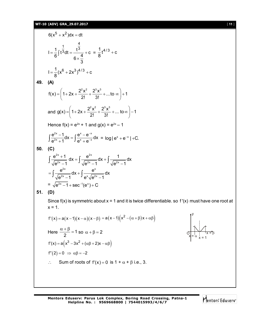## **WT-10 (ADV) GRA\_29.07.2017** [ **11** ]

$$
6(x5 + x2)dx = dt
$$
  
\n
$$
I = \frac{1}{6} \int t^{\frac{1}{3}} dt = \frac{t^{\frac{4}{3}}}{6 \times \frac{4}{3}} + c = \frac{1}{8} t^{4/3} + c
$$
  
\n
$$
I = \frac{1}{8} (x^{6} + 2x^{3})^{4/3} + c
$$

**49. (A)**

$$
f(x) = \left(1 + 2x + \frac{2^2 x^2}{2!} + \frac{2^3 x^3}{3!} + \dots \text{to } \infty\right) + 1
$$
  
and  $g(x) = \left(1 + 2x + \frac{2^2 x^2}{2!} + \frac{2^3 x^3}{3!} + \dots \text{to } \infty\right) - 1$ 

Hence 
$$
f(x) = e^{2x} + 1
$$
 and  $g(x) = e^{2x} - 1$ 

$$
\int \frac{e^{2x}-1}{e^{2x}+1}dx = \int \frac{e^{x}-e^{-x}}{e^{x}+e^{-x}}dx = \log |e^{x}+e^{-x}| + C.
$$

50. (C)  
\n
$$
\int \frac{e^{2x} + 1}{\sqrt{e^{2x} - 1}} dx = \int \frac{e^{2x}}{\sqrt{e^{2x} - 1}} dx + \int \frac{1}{\sqrt{e^{2x} - 1}} dx
$$
\n
$$
= \int \frac{e^{2x}}{\sqrt{e^{2x} - 1}} dx + \int \frac{e^{x}}{e^{x} \sqrt{e^{2x} - 1}} dx
$$
\n
$$
= \sqrt{e^{2x} - 1} + \sec^{-1}(e^{x}) + C
$$

$$
51. (D)
$$

Since  $f(x)$  is symmetric about  $x = 1$  and it is twice differentiable. so  $f'(x)$  must have one root at  $x = 1$ .

$$
f'(x) = a(x-1)(x-\alpha)(x-\beta) = a(x-1)(x^2 - (\alpha + \beta)x + \alpha\beta)
$$
  
\nHere 
$$
\frac{\alpha + \beta}{2} = 1
$$
 so  $\alpha + \beta = 2$   
\n
$$
f'(x) = a(x^3 - 3x^2 + (\alpha\beta + 2)x - \alpha\beta)
$$
  
\n
$$
f''(2) = 0 \implies \alpha\beta = -2
$$
  
\n
$$
\therefore
$$
 Sum of roots of  $f'(x) = 0$  is  $1 + \alpha + \beta$  i.e., 3.

x|= α x = β x = 1 y O

**Mentors Eduserv: Parus Lok Complex, Boring Road Crossing, Patna-1 Helpline No. : 9569668800 | 7544015993/4/6/7**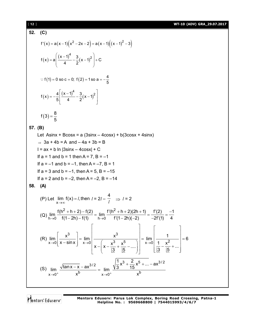### [ **12** ] **WT-10 (ADV) GRA\_29.07.2017**

52. (C)  
\n
$$
f'(x) = a(x-1)(x^2-2x-2) = a(x-1)((x-1)^2-3)
$$
  
\n $f(x) = a\left(\frac{(x-1)^4}{4} - \frac{3}{2}(x-1)^2\right) + C$   
\n $\therefore f(1) = 0 \text{ so } c = 0; f(2) = 1 \text{ so } a = -\frac{4}{5}$   
\n $f(x) = -\frac{4}{5}\left[\frac{(x-1)^4}{4} - \frac{3}{2}(x-1)^2\right]$   
\n $f(3) = \frac{8}{5}$   
\n57. (B)  
\nLet Asinx + BCosx = a (3sinx - 4cosx) + b(3cosx + 4sinx)  
\n $\Rightarrow 3a + 4b = A \text{ and } -4a + 3b = B$   
\n $1 = ax + b \ln |3sinx - 4cosx| + C$   
\nIf  $a = 1$  and  $b = 1$  then  $A = 7$ ,  $B = -1$   
\nIf  $a = -1$  and  $b = -1$ , then  $A = -7$ ,  $B = 1$   
\nIf  $a = 3$  and  $b = -1$ , then  $A = -7$ ,  $B = 1$   
\nIf  $a = 2$  and  $b = -2$ , then  $A = -2$ ,  $B = -14$   
\n58. (A)  
\n(P) Let  $\lim_{x \to \infty} f(x) = I$ , then  $I = 2I - \frac{4}{I} \implies I = 2$   
\n(Q)  $\lim_{h \to 0} \frac{f(h^2 + h + 2) - f(2)}{f(1 - 2h) - f(1)} = \lim_{h \to 0} \frac{f'(h^2 + h + 2)(2h + 1)}{f'(1 - 2h)(-2)} = \frac{f'(2)}{-2f'(1)} = \frac{-1}{4}$   
\n(R)  $\lim_{x \to 0} \left[\frac{x^3}{x - \sin x}\right] = \lim_{x \to 0} \left[\frac{x^3}{x - \left(x - \frac{x^3}{13} + \frac{x^5}{15} - \dots\right)}\right] = \lim_{x \to 0} \left[\frac{1}{13} - \frac{x^2}{$ 

$$
\frac{1}{\left(5\right)} \lim_{x \to 0^{+}} \frac{\sqrt{\tan x - x} - ax^{3/2}}{x^{b}} = \lim_{x \to 0^{+}} \frac{\sqrt{\frac{1}{3}x^{3} + \frac{2}{15}x^{5} + ...} - ax^{3/2}}{x^{b}}
$$

Mentors Eduserv<sup>-</sup>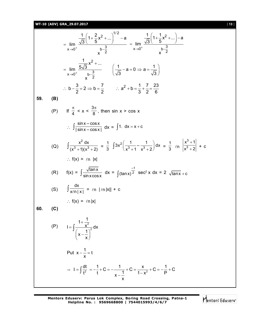## **WT-10 (ADV) GRA\_29.07.2017** [ **13** ]

$$
\lim_{x \to 0^{+}} \frac{\frac{1}{\sqrt{3}} \left(1 + \frac{2}{5}x^{2} + \dots\right)^{1/2} - a}{x - 3} = \lim_{x \to 0^{+}} \frac{\frac{1}{\sqrt{3}} \left(1 + \frac{1}{5}x^{2} + \dots\right) - a}{x - 3}
$$
\n
$$
= \lim_{x \to 0^{+}} \frac{\frac{1}{5\sqrt{3}}x^{2} + \dots}{x - 2}
$$
\n
$$
= \lim_{x \to 0^{+}} \frac{\frac{1}{5\sqrt{3}}x^{2} + \dots}{x - 2}
$$
\n
$$
\therefore b - \frac{3}{2} = 2 \Rightarrow b = \frac{7}{2} \qquad \therefore a^{2} + b = \frac{1}{3} + \frac{7}{2} = \frac{23}{6}
$$
\n59. (B)\n
$$
(P) \quad \text{If } \frac{\pi}{4} < x < \frac{3\pi}{8}, \text{ then } \sin x > \cos x
$$
\n
$$
\therefore \int \frac{\sin x - \cos x}{|\sin x - \cos x|} dx = \int 1. \, dx = x + c
$$
\n
$$
(Q) \quad \int \frac{x^{2} dx}{(x^{3} + 1)(x^{3} + 2)} = \frac{1}{3} \int 3x^{2} \left(\frac{1}{x^{3} + 1} - \frac{1}{x^{3} + 2}\right) dx = \frac{1}{3} \cdot \ln \left|\frac{x^{3} + 1}{x^{3} + 2}\right| + c
$$
\n
$$
\therefore \text{ if } (x) = \ln |x|
$$
\n
$$
(R) \quad \text{f}(x) = \int \frac{\sqrt{\tan x}}{\sin x \cos x} dx = \int (\tan x)^{\frac{-1}{2}} \sec^{2} x dx = 2 \sqrt{\tan x} + c
$$
\n
$$
(S) \quad \int \frac{\cos x}{x \ln |x|} = \ln |\ln |x| + c
$$
\n
$$
\therefore \text{ f}(x) = \ln |x|
$$
\n60. (C)\n
$$
P = \int \frac{1 + \frac{1}{x^{2}}}{(x - \frac{1}{x})^{2}} dx
$$
\nPut  $x - \frac{1}{x} = t$ \n
$$
\Rightarrow 1 = \int \frac{
$$